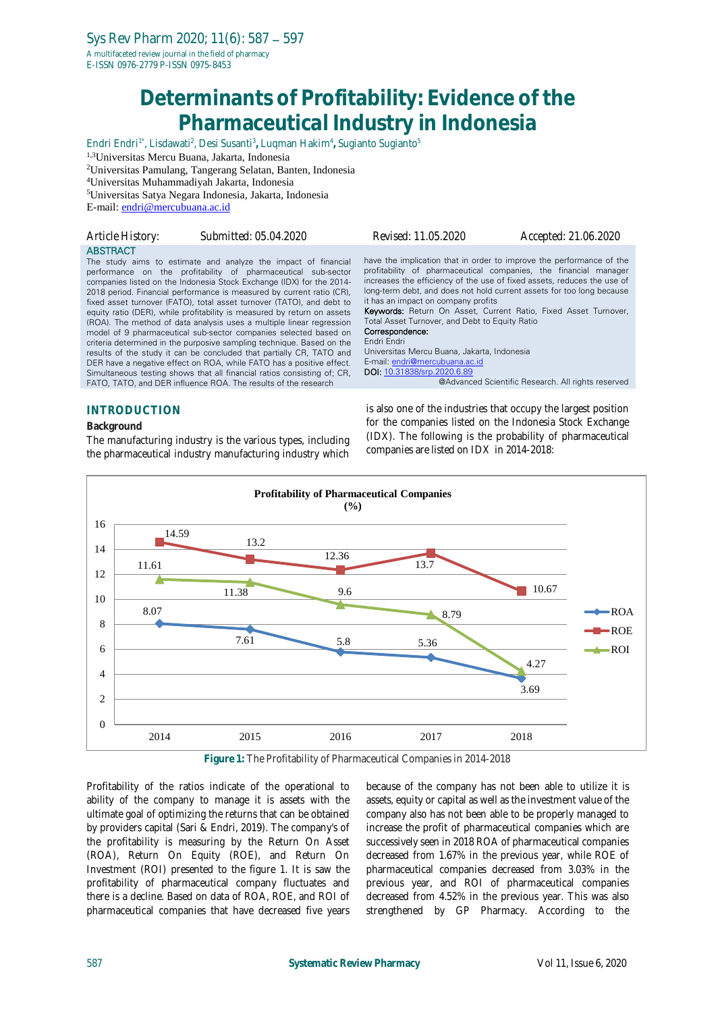# **Determinants of Profitability: Evidence of the Pharmaceutical Industry in Indonesia**

Endri Endri1\* , Lisdawati<sup>2</sup> , Desi Susanti<sup>3</sup> **,** Luqman Hakim<sup>4</sup> **,** Sugianto Sugianto<sup>5</sup>

1,3Universitas Mercu Buana, Jakarta, Indonesia

<sup>2</sup>Universitas Pamulang, Tangerang Selatan, Banten, Indonesia

<sup>4</sup>Universitas Muhammadiyah Jakarta, Indonesia

<sup>5</sup>Universitas Satya Negara Indonesia, Jakarta, Indonesia

E-mail: [endri@mercubuana.ac.id](mailto:endri@mercubuana.ac.id)

| Article History:    | Submitted: 05.04.2020                                                                                                                                                                                                                                                                                                                                                                                                                                                                                                                                                                                                                                                                                                                                                                                                                                                                                                                                  | Revised: 11.05.2020                                                                                                                                                                                                                     | Accepted: 21.06.2020                                                                                                                                                                                                                                                                                                                                                                                                         |
|---------------------|--------------------------------------------------------------------------------------------------------------------------------------------------------------------------------------------------------------------------------------------------------------------------------------------------------------------------------------------------------------------------------------------------------------------------------------------------------------------------------------------------------------------------------------------------------------------------------------------------------------------------------------------------------------------------------------------------------------------------------------------------------------------------------------------------------------------------------------------------------------------------------------------------------------------------------------------------------|-----------------------------------------------------------------------------------------------------------------------------------------------------------------------------------------------------------------------------------------|------------------------------------------------------------------------------------------------------------------------------------------------------------------------------------------------------------------------------------------------------------------------------------------------------------------------------------------------------------------------------------------------------------------------------|
| <b>ABSTRACT</b>     | The study aims to estimate and analyze the impact of financial<br>performance on the profitability of pharmaceutical sub-sector<br>companies listed on the Indonesia Stock Exchange (IDX) for the 2014-<br>2018 period. Financial performance is measured by current ratio (CR),<br>fixed asset turnover (FATO), total asset turnover (TATO), and debt to<br>equity ratio (DER), while profitability is measured by return on assets<br>(ROA). The method of data analysis uses a multiple linear regression<br>model of 9 pharmaceutical sub-sector companies selected based on<br>criteria determined in the purposive sampling technique. Based on the<br>results of the study it can be concluded that partially CR, TATO and<br>DER have a negative effect on ROA, while FATO has a positive effect.<br>Simultaneous testing shows that all financial ratios consisting of; CR,<br>FATO, TATO, and DER influence ROA. The results of the research | it has an impact on company profits<br>Total Asset Turnover, and Debt to Equity Ratio<br>Correspondence:<br>Endri Endri<br>Universitas Mercu Buana, Jakarta, Indonesia<br>E-mail: endri@mercubuana.ac.id<br>DOI: 10.31838/srp.2020.6.89 | have the implication that in order to improve the performance of the<br>profitability of pharmaceutical companies, the financial manager<br>increases the efficiency of the use of fixed assets, reduces the use of<br>long-term debt, and does not hold current assets for too long because<br><b>Keywords:</b> Return On Asset, Current Ratio, Fixed Asset Turnover,<br>@Advanced Scientific Research. All rights reserved |
| <b>INTRODUCTION</b> |                                                                                                                                                                                                                                                                                                                                                                                                                                                                                                                                                                                                                                                                                                                                                                                                                                                                                                                                                        |                                                                                                                                                                                                                                         | is also one of the industries that occupy the largest position                                                                                                                                                                                                                                                                                                                                                               |

**Background**

The manufacturing industry is the various types, including the pharmaceutical industry manufacturing industry which

is also one of the industries that occupy the largest position for the companies listed on the Indonesia Stock Exchange (IDX). The following is the probability of pharmaceutical companies are listed on IDX in 2014-2018:



**Figure 1:** The Profitability of Pharmaceutical Companies in 2014-2018

Profitability of the ratios indicate of the operational to ability of the company to manage it is assets with the ultimate goal of optimizing the returns that can be obtained by providers capital (Sari & Endri, 2019). The company's of the profitability is measuring by the Return On Asset (ROA), Return On Equity (ROE), and Return On Investment (ROI) presented to the figure 1. It is saw the profitability of pharmaceutical company fluctuates and there is a decline. Based on data of ROA, ROE, and ROI of pharmaceutical companies that have decreased five years

because of the company has not been able to utilize it is assets, equity or capital as well as the investment value of the company also has not been able to be properly managed to increase the profit of pharmaceutical companies which are successively seen in 2018 ROA of pharmaceutical companies decreased from 1.67% in the previous year, while ROE of pharmaceutical companies decreased from 3.03% in the previous year, and ROI of pharmaceutical companies decreased from 4.52% in the previous year. This was also strengthened by GP Pharmacy. According to the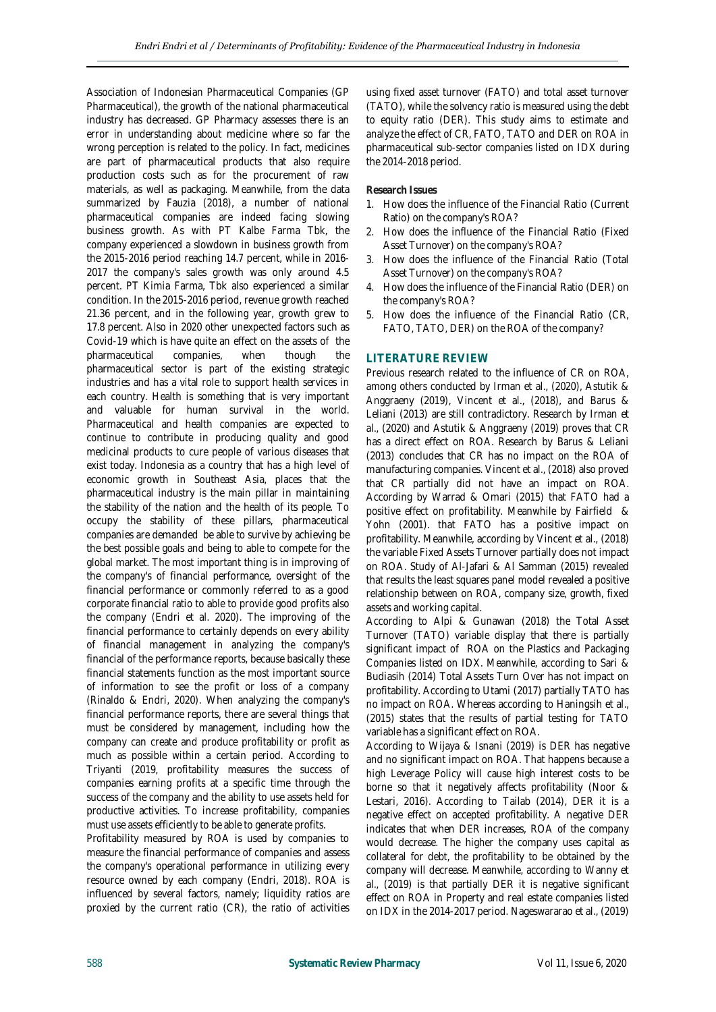Association of Indonesian Pharmaceutical Companies (GP Pharmaceutical), the growth of the national pharmaceutical industry has decreased. GP Pharmacy assesses there is an error in understanding about medicine where so far the wrong perception is related to the policy. In fact, medicines are part of pharmaceutical products that also require production costs such as for the procurement of raw materials, as well as packaging. Meanwhile, from the data summarized by Fauzia (2018), a number of national pharmaceutical companies are indeed facing slowing business growth. As with PT Kalbe Farma Tbk, the company experienced a slowdown in business growth from the 2015-2016 period reaching 14.7 percent, while in 2016- 2017 the company's sales growth was only around 4.5 percent. PT Kimia Farma, Tbk also experienced a similar condition. In the 2015-2016 period, revenue growth reached 21.36 percent, and in the following year, growth grew to 17.8 percent. Also in 2020 other unexpected factors such as Covid-19 which is have quite an effect on the assets of the pharmaceutical companies, when though the pharmaceutical sector is part of the existing strategic industries and has a vital role to support health services in each country. Health is something that is very important and valuable for human survival in the world. Pharmaceutical and health companies are expected to continue to contribute in producing quality and good medicinal products to cure people of various diseases that exist today. Indonesia as a country that has a high level of economic growth in Southeast Asia, places that the pharmaceutical industry is the main pillar in maintaining the stability of the nation and the health of its people. To occupy the stability of these pillars, pharmaceutical companies are demanded be able to survive by achieving be the best possible goals and being to able to compete for the global market. The most important thing is in improving of the company's of financial performance, oversight of the financial performance or commonly referred to as a good corporate financial ratio to able to provide good profits also the company (Endri et al. 2020). The improving of the financial performance to certainly depends on every ability of financial management in analyzing the company's financial of the performance reports, because basically these financial statements function as the most important source of information to see the profit or loss of a company (Rinaldo & Endri, 2020). When analyzing the company's financial performance reports, there are several things that must be considered by management, including how the company can create and produce profitability or profit as much as possible within a certain period. According to Triyanti (2019, profitability measures the success of companies earning profits at a specific time through the success of the company and the ability to use assets held for productive activities. To increase profitability, companies must use assets efficiently to be able to generate profits.

Profitability measured by ROA is used by companies to measure the financial performance of companies and assess the company's operational performance in utilizing every resource owned by each company (Endri, 2018). ROA is influenced by several factors, namely; liquidity ratios are proxied by the current ratio (CR), the ratio of activities

using fixed asset turnover (FATO) and total asset turnover (TATO), while the solvency ratio is measured using the debt to equity ratio (DER). This study aims to estimate and analyze the effect of CR, FATO, TATO and DER on ROA in pharmaceutical sub-sector companies listed on IDX during the 2014-2018 period.

## **Research Issues**

- 1. How does the influence of the Financial Ratio (Current Ratio) on the company's ROA?
- 2. How does the influence of the Financial Ratio (Fixed Asset Turnover) on the company's ROA?
- 3. How does the influence of the Financial Ratio (Total Asset Turnover) on the company's ROA?
- 4. How does the influence of the Financial Ratio (DER) on the company's ROA?
- 5. How does the influence of the Financial Ratio (CR, FATO, TATO, DER) on the ROA of the company?

### **LITERATURE REVIEW**

Previous research related to the influence of CR on ROA, among others conducted by Irman et al., (2020), Astutik & Anggraeny (2019), Vincent et al., (2018), and Barus & Leliani (2013) are still contradictory. Research by Irman et al., (2020) and Astutik & Anggraeny (2019) proves that CR has a direct effect on ROA. Research by Barus & Leliani (2013) concludes that CR has no impact on the ROA of manufacturing companies. Vincent et al., (2018) also proved that CR partially did not have an impact on ROA. According by Warrad & Omari (2015) that FATO had a positive effect on profitability. Meanwhile by Fairfield & Yohn (2001). that FATO has a positive impact on profitability. Meanwhile, according by Vincent et al., (2018) the variable Fixed Assets Turnover partially does not impact on ROA. Study of Al-Jafari & Al Samman (2015) revealed that results the least squares panel model revealed a positive relationship between on ROA, company size, growth, fixed assets and working capital.

According to Alpi & Gunawan (2018) the Total Asset Turnover (TATO) variable display that there is partially significant impact of ROA on the Plastics and Packaging Companies listed on IDX. Meanwhile, according to Sari & Budiasih (2014) Total Assets Turn Over has not impact on profitability. According to Utami (2017) partially TATO has no impact on ROA. Whereas according to Haningsih et al., (2015) states that the results of partial testing for TATO variable has a significant effect on ROA.

According to Wijaya & Isnani (2019) is DER has negative and no significant impact on ROA. That happens because a high Leverage Policy will cause high interest costs to be borne so that it negatively affects profitability (Noor & Lestari, 2016). According to Tailab (2014), DER it is a negative effect on accepted profitability. A negative DER indicates that when DER increases, ROA of the company would decrease. The higher the company uses capital as collateral for debt, the profitability to be obtained by the company will decrease. Meanwhile, according to Wanny et al., (2019) is that partially DER it is negative significant effect on ROA in Property and real estate companies listed on IDX in the 2014-2017 period. Nageswararao et al., (2019)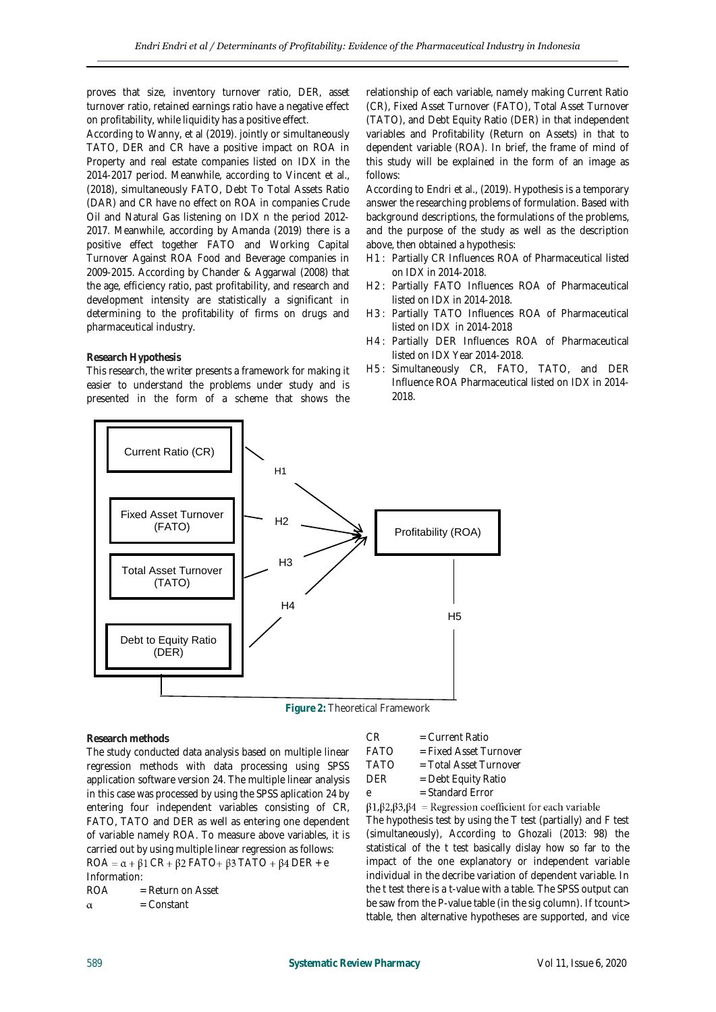proves that size, inventory turnover ratio, DER, asset turnover ratio, retained earnings ratio have a negative effect on profitability, while liquidity has a positive effect.

According to Wanny, et al (2019). jointly or simultaneously TATO, DER and CR have a positive impact on ROA in Property and real estate companies listed on IDX in the 2014-2017 period. Meanwhile, according to Vincent et al., (2018), simultaneously FATO, Debt To Total Assets Ratio (DAR) and CR have no effect on ROA in companies Crude Oil and Natural Gas listening on IDX n the period 2012- 2017. Meanwhile, according by Amanda (2019) there is a positive effect together FATO and Working Capital Turnover Against ROA Food and Beverage companies in 2009-2015. According by Chander & Aggarwal (2008) that the age, efficiency ratio, past profitability, and research and development intensity are statistically a significant in determining to the profitability of firms on drugs and pharmaceutical industry.

This research, the writer presents a framework for making it easier to understand the problems under study and is presented in the form of a scheme that shows the

## relationship of each variable, namely making Current Ratio (CR), Fixed Asset Turnover (FATO), Total Asset Turnover (TATO), and Debt Equity Ratio (DER) in that independent variables and Profitability (Return on Assets) in that to dependent variable (ROA). In brief, the frame of mind of this study will be explained in the form of an image as follows:

According to Endri et al., (2019). Hypothesis is a temporary answer the researching problems of formulation. Based with background descriptions, the formulations of the problems, and the purpose of the study as well as the description above, then obtained a hypothesis:

- H1 : Partially CR Influences ROA of Pharmaceutical listed on IDX in 2014-2018.
- H2 : Partially FATO Influences ROA of Pharmaceutical listed on IDX in 2014-2018.
- H3 : Partially TATO Influences ROA of Pharmaceutical listed on IDX in 2014-2018
- H4 : Partially DER Influences ROA of Pharmaceutical listed on IDX Year 2014-2018.
- H5 : Simultaneously CR, FATO, TATO, and DER Influence ROA Pharmaceutical listed on IDX in 2014- 2018.





**Research methods**

**Research Hypothesis**

The study conducted data analysis based on multiple linear regression methods with data processing using SPSS application software version 24. The multiple linear analysis in this case was processed by using the SPSS aplication 24 by entering four independent variables consisting of CR, FATO, TATO and DER as well as entering one dependent of variable namely ROA. To measure above variables, it is carried out by using multiple linear regression as follows:  $ROA = \alpha + \beta$ 1 CR +  $\beta$ 2 FATO +  $\beta$ 3 TATO +  $\beta$ 4 DER + e Information:

 $ROA = Return on Asset$ 

 = Constant  $\alpha$ 

 $CR = Current Ratio$ 

- FATO = Fixed Asset Turnover
- TATO = Total Asset Turnover
- DER = Debt Equity Ratio

e = Standard Error

## $\beta$ 1, $\beta$ 2, $\beta$ 3, $\beta$ 4 = Regression coefficient for each variable

The hypothesis test by using the T test (partially) and F test (simultaneously), According to Ghozali (2013: 98) the statistical of the t test basically dislay how so far to the impact of the one explanatory or independent variable individual in the decribe variation of dependent variable. In the t test there is a t-value with a table. The SPSS output can be saw from the P-value table (in the sig column). If tcount> ttable, then alternative hypotheses are supported, and vice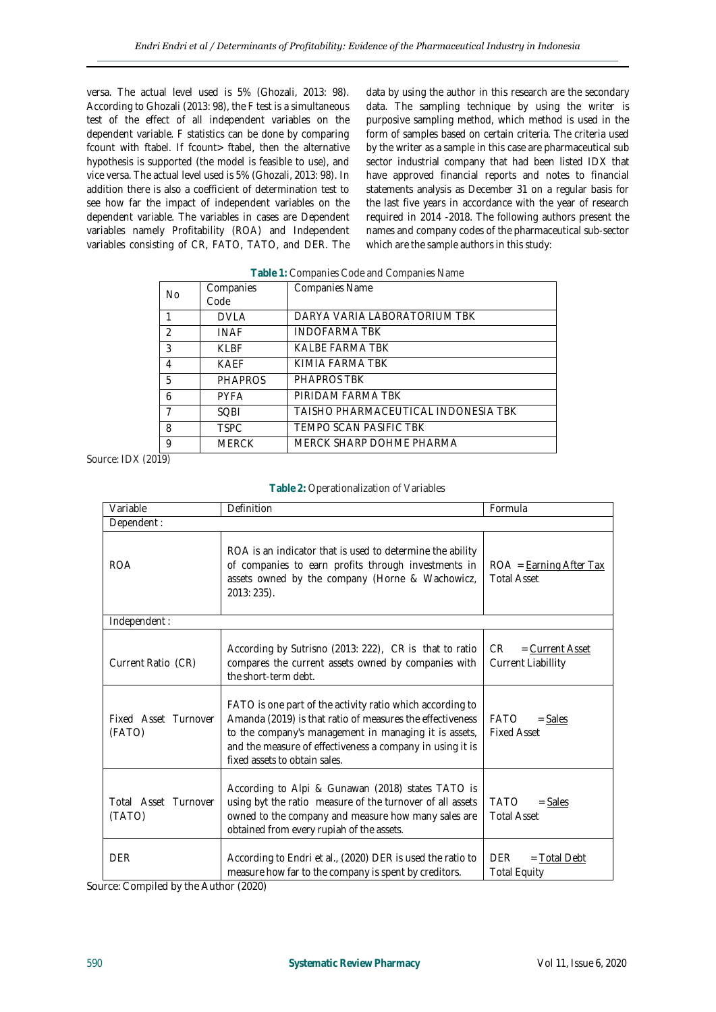versa. The actual level used is 5% (Ghozali, 2013: 98). According to Ghozali (2013: 98), the F test is a simultaneous test of the effect of all independent variables on the dependent variable. F statistics can be done by comparing fcount with ftabel. If fcount> ftabel, then the alternative hypothesis is supported (the model is feasible to use), and vice versa. The actual level used is 5% (Ghozali, 2013: 98). In addition there is also a coefficient of determination test to see how far the impact of independent variables on the dependent variable. The variables in cases are Dependent variables namely Profitability (ROA) and Independent variables consisting of CR, FATO, TATO, and DER. The data by using the author in this research are the secondary data. The sampling technique by using the writer is purposive sampling method, which method is used in the form of samples based on certain criteria. The criteria used by the writer as a sample in this case are pharmaceutical sub sector industrial company that had been listed IDX that have approved financial reports and notes to financial statements analysis as December 31 on a regular basis for the last five years in accordance with the year of research required in 2014 -2018. The following authors present the names and company codes of the pharmaceutical sub-sector which are the sample authors in this study:

| No.            | Companies<br>Code | Companies Name                      |
|----------------|-------------------|-------------------------------------|
|                | <b>DVLA</b>       | DARYA VARIA LABORATORIUM TBK        |
| $\mathfrak{D}$ | <b>INAF</b>       | <b>INDOFARMA TBK</b>                |
| 3              | KLBF              | KALBE FARMA TBK                     |
| 4              | <b>KAFF</b>       | KIMIA FARMA TBK                     |
| 5              | <b>PHAPROS</b>    | <b>PHAPROS TBK</b>                  |
| 6              | <b>PYFA</b>       | PIRIDAM FARMA TBK                   |
|                | <b>SOBI</b>       | TAISHO PHARMACEUTICAL INDONESIA TBK |
| 8              | <b>TSPC</b>       | TEMPO SCAN PASIFIC TBK              |
| 9              | <b>MERCK</b>      | MERCK SHARP DOHME PHARMA            |

**Table 1:** Companies Code and Companies Name

Source: IDX (2019)

| Table 2: Operationalization of Variables |  |
|------------------------------------------|--|
|------------------------------------------|--|

| Variable                       | Definition                                                                                                                                                                                                                                                                    | Formula                                               |  |
|--------------------------------|-------------------------------------------------------------------------------------------------------------------------------------------------------------------------------------------------------------------------------------------------------------------------------|-------------------------------------------------------|--|
| Dependent:                     |                                                                                                                                                                                                                                                                               |                                                       |  |
| <b>ROA</b>                     | ROA is an indicator that is used to determine the ability<br>of companies to earn profits through investments in<br>assets owned by the company (Horne & Wachowicz,<br>2013: 235).                                                                                            | $ROA = Earning After Tax$<br><b>Total Asset</b>       |  |
| Independent:                   |                                                                                                                                                                                                                                                                               |                                                       |  |
| Current Ratio (CR)             | According by Sutrisno (2013: 222), CR is that to ratio<br>compares the current assets owned by companies with<br>the short-term debt.                                                                                                                                         | $=$ Current Asset<br>CR.<br><b>Current Liabillity</b> |  |
| Fixed Asset Turnover<br>(FATO) | FATO is one part of the activity ratio which according to<br>Amanda (2019) is that ratio of measures the effectiveness<br>to the company's management in managing it is assets,<br>and the measure of effectiveness a company in using it is<br>fixed assets to obtain sales. | FATO<br>$=$ Sales<br><b>Fixed Asset</b>               |  |
| Total Asset Turnover<br>(TATO) | According to Alpi & Gunawan (2018) states TATO is<br>using byt the ratio measure of the turnover of all assets<br>owned to the company and measure how many sales are<br>obtained from every rupiah of the assets.                                                            | <b>TATO</b><br>$=$ Sales<br><b>Total Asset</b>        |  |
| <b>DER</b>                     | According to Endri et al., (2020) DER is used the ratio to<br>measure how far to the company is spent by creditors.                                                                                                                                                           | DFR.<br>$=$ Total Debt<br><b>Total Equity</b>         |  |

Source: Compiled by the Author (2020)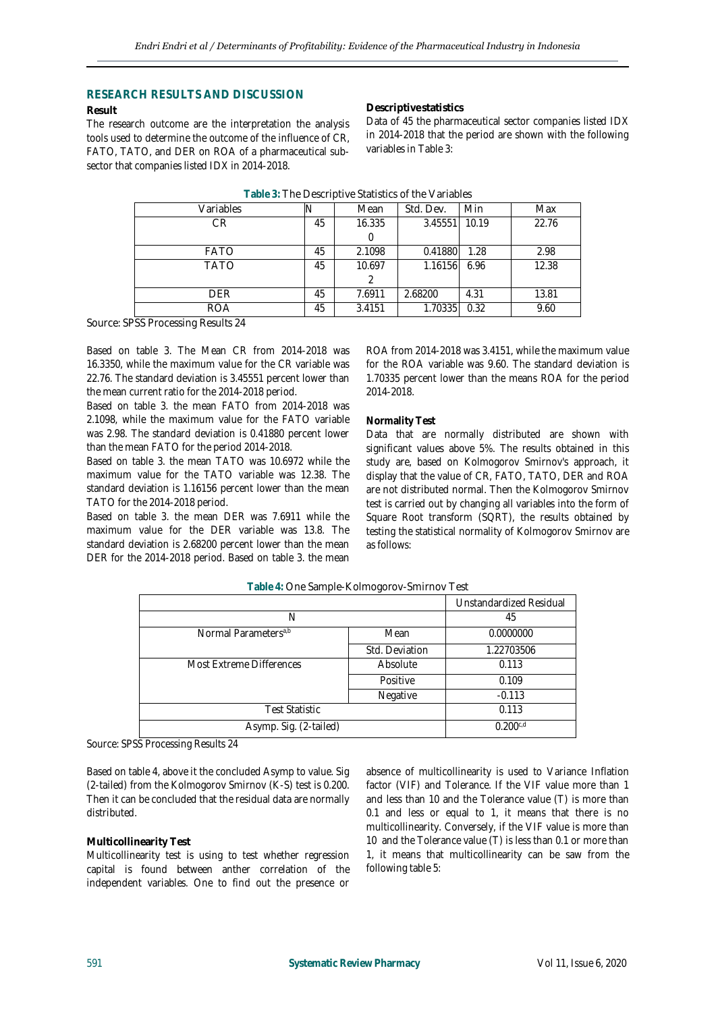## **RESEARCH RESULTS AND DISCUSSION**

#### **Result**

The research outcome are the interpretation the analysis tools used to determine the outcome of the influence of CR, FATO, TATO, and DER on ROA of a pharmaceutical subsector that companies listed IDX in 2014-2018.

**Descriptive statistics**

Data of 45 the pharmaceutical sector companies listed IDX in 2014-2018 that the period are shown with the following variables in Table 3:

| Variables                                           |    | Mean   | Std. Dev. | Min   | Max   |
|-----------------------------------------------------|----|--------|-----------|-------|-------|
| CR                                                  | 45 | 16.335 | 3.45551   | 10.19 | 22.76 |
|                                                     |    |        |           |       |       |
| <b>FATO</b>                                         | 45 | 2.1098 | 0.41880   | 1.28  | 2.98  |
| <b>TATO</b>                                         | 45 | 10.697 | 1.16156   | 6.96  | 12.38 |
|                                                     |    |        |           |       |       |
| DFR.                                                | 45 | 7.6911 | 2.68200   | 4.31  | 13.81 |
| <b>ROA</b>                                          | 45 | 3.4151 | 1.70335   | 0.32  | 9.60  |
| $\sim$ $\sim$<br>$\sim$ $\sim$ $\sim$ $\sim$ $\sim$ |    |        |           |       |       |

Source: SPSS Processing Results 24

Based on table 3. The Mean CR from 2014-2018 was 16.3350, while the maximum value for the CR variable was 22.76. The standard deviation is 3.45551 percent lower than the mean current ratio for the 2014-2018 period.

Based on table 3. the mean FATO from 2014-2018 was 2.1098, while the maximum value for the FATO variable was 2.98. The standard deviation is 0.41880 percent lower than the mean FATO for the period 2014-2018.

Based on table 3. the mean TATO was 10.6972 while the maximum value for the TATO variable was 12.38. The standard deviation is 1.16156 percent lower than the mean TATO for the 2014-2018 period.

Based on table 3. the mean DER was 7.6911 while the maximum value for the DER variable was 13.8. The standard deviation is 2.68200 percent lower than the mean DER for the 2014-2018 period. Based on table 3. the mean

ROA from 2014-2018 was 3.4151, while the maximum value for the ROA variable was 9.60. The standard deviation is 1.70335 percent lower than the means ROA for the period 2014-2018.

#### **Normality Test**

Data that are normally distributed are shown with significant values above 5%. The results obtained in this study are, based on Kolmogorov Smirnov's approach, it display that the value of CR, FATO, TATO, DER and ROA are not distributed normal. Then the Kolmogorov Smirnov test is carried out by changing all variables into the form of Square Root transform (SQRT), the results obtained by testing the statistical normality of Kolmogorov Smirnov are as follows:

|                                  |                | Unstandardized Residual |
|----------------------------------|----------------|-------------------------|
| N                                | 45             |                         |
| Normal Parameters <sup>a,b</sup> | Mean           |                         |
|                                  | Std. Deviation | 1.22703506              |
| Most Extreme Differences         | Absolute       | 0.113                   |
|                                  | Positive       | 0.109                   |
|                                  | Negative       | $-0.113$                |
| <b>Test Statistic</b>            | 0.113          |                         |
| Asymp. Sig. (2-tailed)           |                | 0.200c,d                |

**Table 4:** One Sample-Kolmogorov-Smirnov Test

Source: SPSS Processing Results 24

Based on table 4, above it the concluded Asymp to value. Sig (2-tailed) from the Kolmogorov Smirnov (K-S) test is 0.200. Then it can be concluded that the residual data are normally distributed.

#### **Multicollinearity Test**

Multicollinearity test is using to test whether regression capital is found between anther correlation of the independent variables. One to find out the presence or

absence of multicollinearity is used to Variance Inflation factor (VIF) and Tolerance. If the VIF value more than 1 and less than 10 and the Tolerance value (T) is more than 0.1 and less or equal to 1, it means that there is no multicollinearity. Conversely, if the VIF value is more than 10 and the Tolerance value (T) is less than 0.1 or more than 1, it means that multicollinearity can be saw from the following table 5: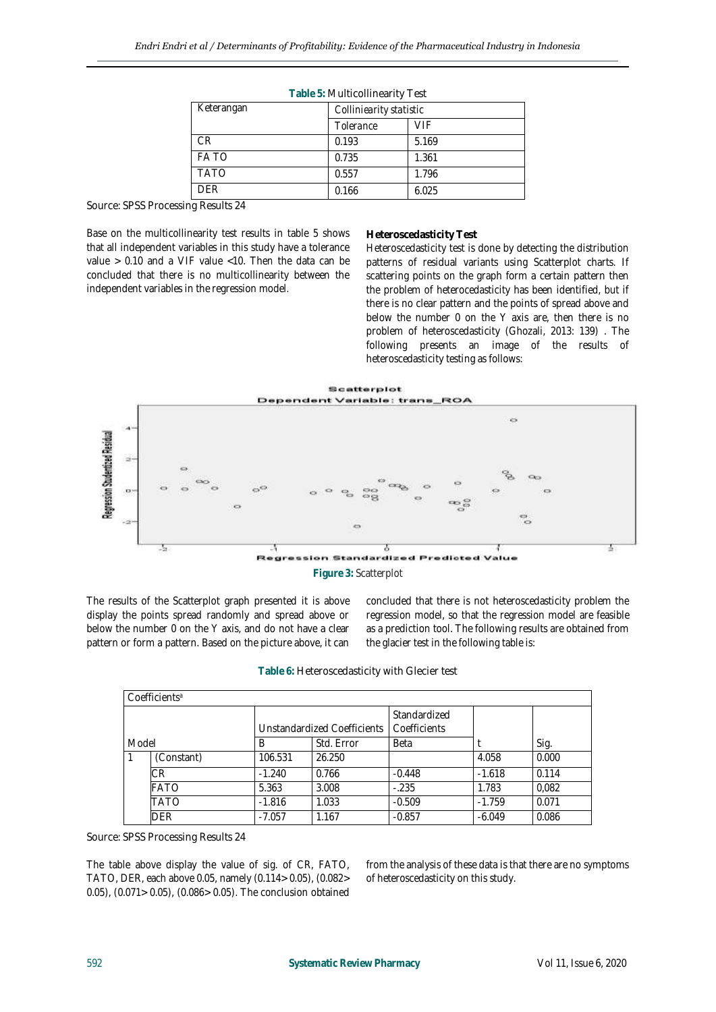| Table 5: Multicollinearity Test |                         |       |  |  |
|---------------------------------|-------------------------|-------|--|--|
| Keterangan                      | Colliniearity statistic |       |  |  |
|                                 | Tolerance               | VIF   |  |  |
| CR.                             | 0.193                   | 5.169 |  |  |
| <b>FATO</b>                     | 0.735                   | 1.361 |  |  |
| <b>TATO</b>                     | 0.557                   | 1.796 |  |  |
| DFR.                            | 0.166                   | 6.025 |  |  |

**Table 5:** Multicollinearity Test

Source: SPSS Processing Results 24

Base on the multicollinearity test results in table 5 shows that all independent variables in this study have a tolerance value > 0.10 and a VIF value <10. Then the data can be concluded that there is no multicollinearity between the independent variables in the regression model.

#### **Heteroscedasticity Test**

Heteroscedasticity test is done by detecting the distribution patterns of residual variants using Scatterplot charts. If scattering points on the graph form a certain pattern then the problem of heterocedasticity has been identified, but if there is no clear pattern and the points of spread above and below the number 0 on the Y axis are, then there is no problem of heteroscedasticity (Ghozali, 2013: 139) . The following presents an image of the results of heteroscedasticity testing as follows:



The results of the Scatterplot graph presented it is above display the points spread randomly and spread above or below the number 0 on the Y axis, and do not have a clear pattern or form a pattern. Based on the picture above, it can concluded that there is not heteroscedasticity problem the regression model, so that the regression model are feasible as a prediction tool. The following results are obtained from the glacier test in the following table is:

| Table 6: Heteroscedasticity with Glecier test |
|-----------------------------------------------|
|-----------------------------------------------|

| Coefficients <sup>a</sup> |            |                             |            |                              |          |       |  |
|---------------------------|------------|-----------------------------|------------|------------------------------|----------|-------|--|
|                           |            | Unstandardized Coefficients |            | Standardized<br>Coefficients |          |       |  |
| Model                     |            | В                           | Std. Error | Beta                         |          | Sig.  |  |
|                           | (Constant) | 106.531                     | 26.250     |                              | 4.058    | 0.000 |  |
|                           | СR         | $-1.240$                    | 0.766      | $-0.448$                     | $-1.618$ | 0.114 |  |
|                           | FATO       | 5.363                       | 3.008      | $-.235$                      | 1.783    | 0,082 |  |
|                           | TATO       | $-1.816$                    | 1.033      | $-0.509$                     | $-1.759$ | 0.071 |  |
|                           | DER        | $-7.057$                    | 1.167      | $-0.857$                     | $-6.049$ | 0.086 |  |

Source: SPSS Processing Results 24

The table above display the value of sig. of CR, FATO, TATO, DER, each above 0.05, namely (0.114> 0.05), (0.082> 0.05), (0.071> 0.05), (0.086> 0.05). The conclusion obtained

from the analysis of these data is that there are no symptoms of heteroscedasticity on this study.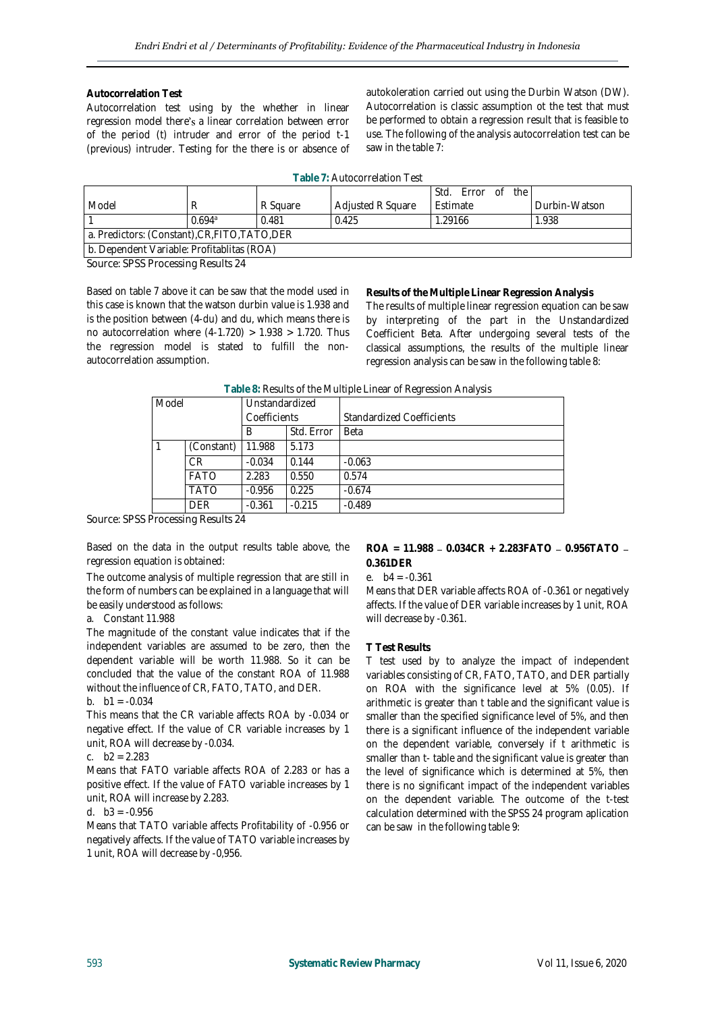#### **Autocorrelation Test**

Autocorrelation test using by the whether in linear regression model there's a linear correlation between error of the period (t) intruder and error of the period t-1 (previous) intruder. Testing for the there is or absence of autokoleration carried out using the Durbin Watson (DW). Autocorrelation is classic assumption ot the test that must be performed to obtain a regression result that is feasible to use. The following of the analysis autocorrelation test can be saw in the table 7:

| Table 7: Autocorrelation Test |  |
|-------------------------------|--|
|-------------------------------|--|

|                                                |        |          |                          | Std.<br>the I<br>Frror of |               |  |
|------------------------------------------------|--------|----------|--------------------------|---------------------------|---------------|--|
| Model                                          |        | R Sauare | <b>Adjusted R Square</b> | Estimate                  | Durbin-Watson |  |
|                                                | 0.694a | 0.481    | 0.425                    | 1.29166                   | 1.938         |  |
| a. Predictors: (Constant), CR, FITO, TATO, DER |        |          |                          |                           |               |  |
| b. Dependent Variable: Profitablitas (ROA)     |        |          |                          |                           |               |  |

Source: SPSS Processing Results 24

Based on table 7 above it can be saw that the model used in this case is known that the watson durbin value is 1.938 and is the position between (4-du) and du, which means there is no autocorrelation where  $(4-1.720) > 1.938 > 1.720$ . Thus the regression model is stated to fulfill the nonautocorrelation assumption.

**Results of the Multiple Linear Regression Analysis** The results of multiple linear regression equation can be saw by interpreting of the part in the Unstandardized Coefficient Beta. After undergoing several tests of the classical assumptions, the results of the multiple linear regression analysis can be saw in the following table 8:

| Model |             | Unstandardized |            | ◡                                |
|-------|-------------|----------------|------------|----------------------------------|
|       |             | Coefficients   |            | <b>Standardized Coefficients</b> |
|       |             | B              | Std. Error | <b>Beta</b>                      |
|       | (Constant)  | 11.988         | 5.173      |                                  |
|       | СR          | $-0.034$       | 0.144      | $-0.063$                         |
|       | <b>FATO</b> | 2.283          | 0.550      | 0.574                            |
|       | TATO        | $-0.956$       | 0.225      | $-0.674$                         |
|       | DFR         | $-0.361$       | $-0.215$   | $-0.489$                         |

**Table 8:** Results of the Multiple Linear of Regression Analysis

Source: SPSS Processing Results 24

Based on the data in the output results table above, the regression equation is obtained:

The outcome analysis of multiple regression that are still in the form of numbers can be explained in a language that will be easily understood as follows:

#### a. Constant 11.988

The magnitude of the constant value indicates that if the independent variables are assumed to be zero, then the dependent variable will be worth 11.988. So it can be concluded that the value of the constant ROA of 11.988 without the influence of CR, FATO, TATO, and DER.

#### b.  $b1 = -0.034$

This means that the CR variable affects ROA by -0.034 or negative effect. If the value of CR variable increases by 1 unit, ROA will decrease by -0.034.

## c. b2 = 2.283

Means that FATO variable affects ROA of 2.283 or has a positive effect. If the value of FATO variable increases by 1 unit, ROA will increase by 2.283.

## d.  $b3 = -0.956$

Means that TATO variable affects Profitability of -0.956 or negatively affects. If the value of TATO variable increases by 1 unit, ROA will decrease by -0,956.

**ROA = 11.988 0.034CR + 2.283FATO 0.956TATO 0.361DER**

#### e. b4 = -0.361

Means that DER variable affects ROA of -0.361 or negatively affects. If the value of DER variable increases by 1 unit, ROA will decrease by -0.361.

#### **T Test Results**

T test used by to analyze the impact of independent variables consisting of CR, FATO, TATO, and DER partially on ROA with the significance level at 5% (0.05). If arithmetic is greater than t table and the significant value is smaller than the specified significance level of 5%, and then there is a significant influence of the independent variable on the dependent variable, conversely if t arithmetic is smaller than t- table and the significant value is greater than the level of significance which is determined at 5%, then there is no significant impact of the independent variables on the dependent variable. The outcome of the t-test calculation determined with the SPSS 24 program aplication can be saw in the following table 9: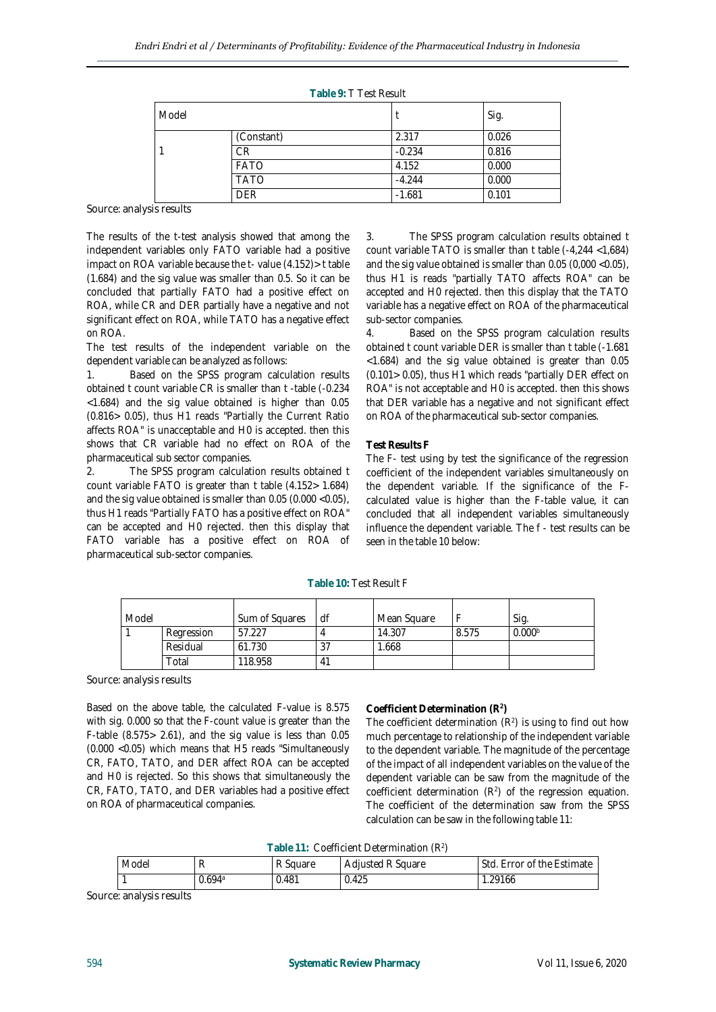|       |             | Table 9: T Test Result |       |
|-------|-------------|------------------------|-------|
| Model |             |                        | Sig.  |
|       | (Constant)  | 2.317                  | 0.026 |
|       | СR          | $-0.234$               | 0.816 |
|       | <b>FATO</b> | 4.152                  | 0.000 |
|       | <b>TATO</b> | $-4.244$               | 0.000 |
|       | DFR         | $-1.681$               | 0.101 |

Source: analysis results

The results of the t-test analysis showed that among the independent variables only FATO variable had a positive impact on ROA variable because the t- value (4.152)> t table (1.684) and the sig value was smaller than 0.5. So it can be concluded that partially FATO had a positive effect on ROA, while CR and DER partially have a negative and not significant effect on ROA, while TATO has a negative effect on ROA.

The test results of the independent variable on the dependent variable can be analyzed as follows:

1. Based on the SPSS program calculation results obtained t count variable CR is smaller than t -table (-0.234 <1.684) and the sig value obtained is higher than 0.05 (0.816> 0.05), thus H1 reads "Partially the Current Ratio affects ROA" is unacceptable and H0 is accepted. then this shows that CR variable had no effect on ROA of the pharmaceutical sub sector companies.

2. The SPSS program calculation results obtained t count variable FATO is greater than t table (4.152> 1.684) and the sig value obtained is smaller than 0.05 (0.000 <0.05), thus H1 reads "Partially FATO has a positive effect on ROA" can be accepted and H0 rejected. then this display that FATO variable has a positive effect on ROA of pharmaceutical sub-sector companies.

3. The SPSS program calculation results obtained t count variable TATO is smaller than t table (-4,244 <1,684) and the sig value obtained is smaller than 0.05 (0,000 <0.05), thus H1 is reads "partially TATO affects ROA" can be accepted and H0 rejected. then this display that the TATO variable has a negative effect on ROA of the pharmaceutical sub-sector companies.

4. Based on the SPSS program calculation results obtained t count variable DER is smaller than t table (-1.681 <1.684) and the sig value obtained is greater than 0.05 (0.101> 0.05), thus H1 which reads "partially DER effect on ROA" is not acceptable and H0 is accepted. then this shows that DER variable has a negative and not significant effect on ROA of the pharmaceutical sub-sector companies.

## **Test Results F**

The F- test using by test the significance of the regression coefficient of the independent variables simultaneously on the dependent variable. If the significance of the Fcalculated value is higher than the F-table value, it can concluded that all independent variables simultaneously influence the dependent variable. The f - test results can be seen in the table 10 below:

| Model |            | Sum of Squares | df            | Mean Square |       | Sig                |
|-------|------------|----------------|---------------|-------------|-------|--------------------|
|       | Regression | 57.227         |               | 14.307      | 8.575 | 0.000 <sup>b</sup> |
|       | Residual   | 61.730         | $\mathcal{L}$ | 1.668       |       |                    |
|       | Total      | 118.958        | 41            |             |       |                    |

**Table 10:** Test Result F

Source: analysis results

Based on the above table, the calculated F-value is 8.575 with sig. 0.000 so that the F-count value is greater than the F-table  $(8.575 > 2.61)$ , and the sig value is less than  $0.05$ (0.000 <0.05) which means that H5 reads "Simultaneously CR, FATO, TATO, and DER affect ROA can be accepted and H0 is rejected. So this shows that simultaneously the CR, FATO, TATO, and DER variables had a positive effect on ROA of pharmaceutical companies.

# **Coefficient Determination (R<sup>2</sup> )**

The coefficient determination  $(R^2)$  is using to find out how much percentage to relationship of the independent variable to the dependent variable. The magnitude of the percentage of the impact of all independent variables on the value of the dependent variable can be saw from the magnitude of the coefficient determination  $(R^2)$  of the regression equation. The coefficient of the determination saw from the SPSS calculation can be saw in the following table 11:

## **Table 11:** Coefficient Determination (R<sup>2</sup> )

| Model |        | R Square | <b>Adjusted R Square</b> | l. Error of the Estimate<br>Std. |
|-------|--------|----------|--------------------------|----------------------------------|
|       | J.694ª | 0.481    | 0.425                    | .29166                           |

Source: analysis results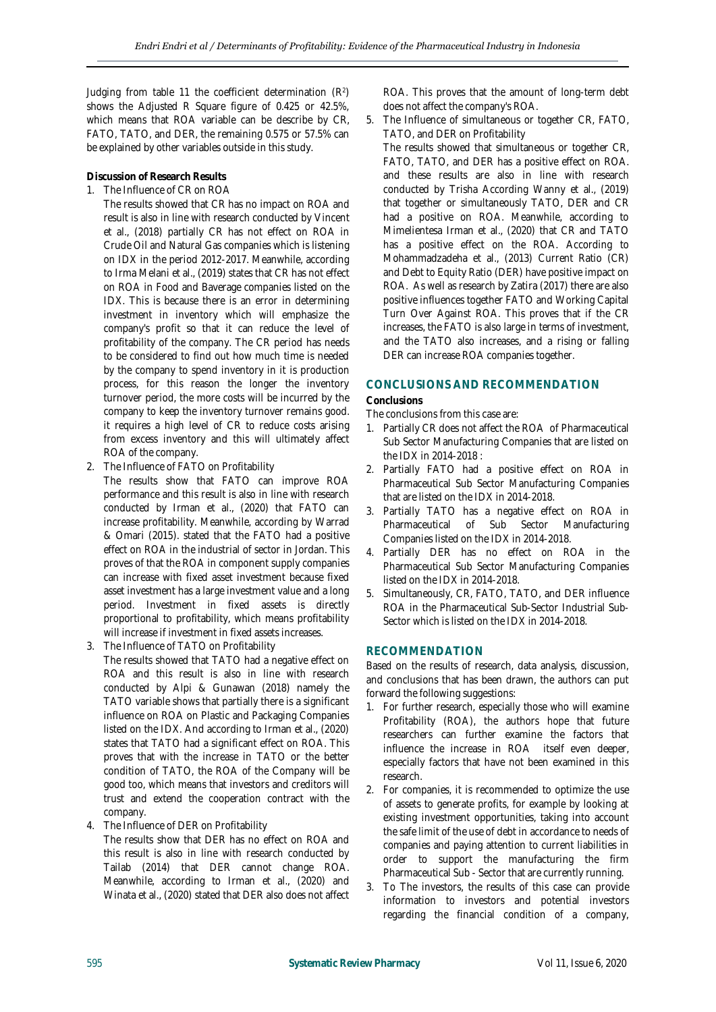Judging from table 11 the coefficient determination  $(R^2)$ shows the Adjusted R Square figure of 0.425 or 42.5%, which means that ROA variable can be describe by CR, FATO, TATO, and DER, the remaining 0.575 or 57.5% can be explained by other variables outside in this study.

**Discussion of Research Results**

1. The Influence of CR on ROA

The results showed that CR has no impact on ROA and result is also in line with research conducted by Vincent et al., (2018) partially CR has not effect on ROA in Crude Oil and Natural Gas companies which is listening on IDX in the period 2012-2017. Meanwhile, according to Irma Melani et al., (2019) states that CR has not effect on ROA in Food and Baverage companies listed on the IDX. This is because there is an error in determining investment in inventory which will emphasize the company's profit so that it can reduce the level of profitability of the company. The CR period has needs to be considered to find out how much time is needed by the company to spend inventory in it is production process, for this reason the longer the inventory turnover period, the more costs will be incurred by the company to keep the inventory turnover remains good. it requires a high level of CR to reduce costs arising from excess inventory and this will ultimately affect ROA of the company.

2. The Influence of FATO on Profitability

The results show that FATO can improve ROA performance and this result is also in line with research conducted by Irman et al., (2020) that FATO can increase profitability. Meanwhile, according by Warrad & Omari (2015). stated that the FATO had a positive effect on ROA in the industrial of sector in Jordan. This proves of that the ROA in component supply companies can increase with fixed asset investment because fixed asset investment has a large investment value and a long period. Investment in fixed assets is directly proportional to profitability, which means profitability will increase if investment in fixed assets increases.

- 3. The Influence of TATO on Profitability The results showed that TATO had a negative effect on ROA and this result is also in line with research conducted by Alpi & Gunawan (2018) namely the TATO variable shows that partially there is a significant influence on ROA on Plastic and Packaging Companies listed on the IDX. And according to Irman et al., (2020) states that TATO had a significant effect on ROA. This proves that with the increase in TATO or the better condition of TATO, the ROA of the Company will be good too, which means that investors and creditors will trust and extend the cooperation contract with the company.
- 4. The Influence of DER on Profitability

The results show that DER has no effect on ROA and this result is also in line with research conducted by Tailab (2014) that DER cannot change ROA. Meanwhile, according to Irman et al., (2020) and Winata et al., (2020) stated that DER also does not affect ROA. This proves that the amount of long-term debt does not affect the company's ROA.

5. The Influence of simultaneous or together CR, FATO, TATO, and DER on Profitability The results showed that simultaneous or together CR, FATO, TATO, and DER has a positive effect on ROA. and these results are also in line with research conducted by Trisha According Wanny et al., (2019) that together or simultaneously TATO, DER and CR had a positive on ROA. Meanwhile, according to Mimelientesa Irman et al., (2020) that CR and TATO has a positive effect on the ROA. According to Mohammadzadeha et al., (2013) Current Ratio (CR) and Debt to Equity Ratio (DER) have positive impact on ROA. As well as research by Zatira (2017) there are also positive influences together FATO and Working Capital Turn Over Against ROA. This proves that if the CR increases, the FATO is also large in terms of investment, and the TATO also increases, and a rising or falling DER can increase ROA companies together.

# **CONCLUSIONS AND RECOMMENDATION**

**Conclusions**

The conclusions from this case are:

- 1. Partially CR does not affect the ROA of Pharmaceutical Sub Sector Manufacturing Companies that are listed on the IDX in 2014-2018 :
- 2. Partially FATO had a positive effect on ROA in Pharmaceutical Sub Sector Manufacturing Companies that are listed on the IDX in 2014-2018.
- 3. Partially TATO has a negative effect on ROA in Pharmaceutical of Sub Sector Manufacturing Companies listed on the IDX in 2014-2018.
- 4. Partially DER has no effect on ROA in the Pharmaceutical Sub Sector Manufacturing Companies listed on the IDX in 2014-2018.
- 5. Simultaneously, CR, FATO, TATO, and DER influence ROA in the Pharmaceutical Sub-Sector Industrial Sub-Sector which is listed on the IDX in 2014-2018.

## **RECOMMENDATION**

Based on the results of research, data analysis, discussion, and conclusions that has been drawn, the authors can put forward the following suggestions:

- 1. For further research, especially those who will examine Profitability (ROA), the authors hope that future researchers can further examine the factors that influence the increase in ROA itself even deeper, especially factors that have not been examined in this research.
- 2. For companies, it is recommended to optimize the use of assets to generate profits, for example by looking at existing investment opportunities, taking into account the safe limit of the use of debt in accordance to needs of companies and paying attention to current liabilities in order to support the manufacturing the firm Pharmaceutical Sub - Sector that are currently running.
- 3. To The investors, the results of this case can provide information to investors and potential investors regarding the financial condition of a company,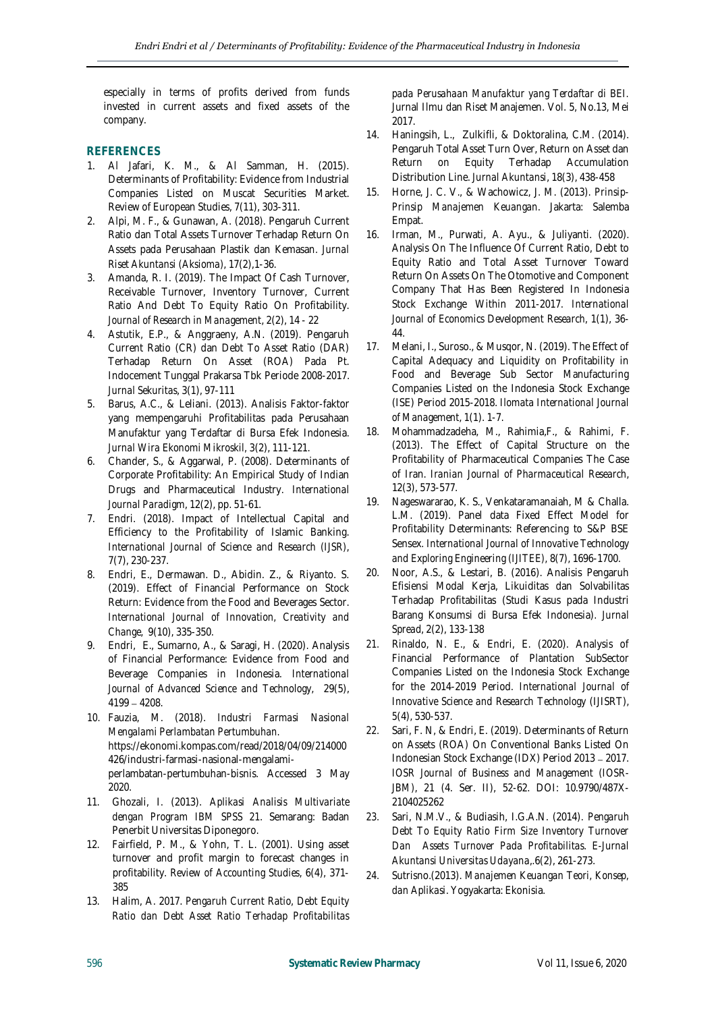especially in terms of profits derived from funds invested in current assets and fixed assets of the company.

# **REFERENCES**

- 1. Al Jafari, K. M., & Al Samman, H. (2015). Determinants of Profitability: Evidence from Industrial Companies Listed on Muscat Securities Market. Review of European Studies, 7(11), 303-311.
- 2. Alpi, M. F., & Gunawan, A. (2018). Pengaruh Current Ratio dan Total Assets Turnover Terhadap Return On Assets pada Perusahaan Plastik dan Kemasan*. Jurnal Riset Akuntansi (Aksioma)*, 17(2),1-36.
- 3. Amanda, R. I. (2019). The Impact Of Cash Turnover, Receivable Turnover, Inventory Turnover, Current Ratio And Debt To Equity Ratio On Profitability. *Journal of Research in Management*, 2(2), 14 - 22
- 4. Astutik, E.P., & Anggraeny, A.N. (2019). Pengaruh Current Ratio (CR) dan Debt To Asset Ratio (DAR) Terhadap Return On Asset (ROA) Pada Pt. Indocement Tunggal Prakarsa Tbk Periode 2008-2017. *Jurnal Sekuritas*, 3(1), 97-111
- 5. Barus, A.C., & Leliani. (2013). Analisis Faktor-faktor yang mempengaruhi Profitabilitas pada Perusahaan Manufaktur yang Terdaftar di Bursa Efek Indonesia*. Jurnal Wira Ekonomi Mikroskil,* 3(2), 111-121.
- 6. Chander, S., & Aggarwal, P. (2008). Determinants of Corporate Profitability: An Empirical Study of Indian Drugs and Pharmaceutical Industry*. International Journal Paradigm*, 12(2), pp. 51-61.
- 7. Endri. (2018). Impact of Intellectual Capital and Efficiency to the Profitability of Islamic Banking. *International Journal of Science and Research (IJSR)*, 7(7), 230-237.
- 8. Endri, E., Dermawan. D., Abidin. Z., & Riyanto. S. (2019). Effect of Financial Performance on Stock Return: Evidence from the Food and Beverages Sector. *International Journal of Innovation, Creativity and Change*, 9(10), 335-350.
- 9. Endri, E., Sumarno, A., & Saragi, H. (2020). Analysis of Financial Performance: Evidence from Food and Beverage Companies in Indonesia. *International Journal of Advanced Science and Technology*, 29(5),  $4199 - 4208.$
- *10.* Fauzia, M. (2018). *Industri Farmasi Nasional Mengalami Perlambatan Pertumbuhan.* [https://ekonomi.kompas.com/read/2018/04/09/214000](https://ekonomi.kompas.com/read/2018/04/09/214000426/industri-farmasi-nasional-mengalami-perlambatan-pertumbuhan-bisnis) [426/industri-farmasi-nasional-mengalami](https://ekonomi.kompas.com/read/2018/04/09/214000426/industri-farmasi-nasional-mengalami-perlambatan-pertumbuhan-bisnis)[perlambatan-pertumbuhan-bisnis.](https://ekonomi.kompas.com/read/2018/04/09/214000426/industri-farmasi-nasional-mengalami-perlambatan-pertumbuhan-bisnis) Accessed 3 May 2020.
- 11. Ghozali, I. (2013). *Aplikasi Analisis Multivariate dengan Program IBM SPSS 21*. Semarang: Badan Penerbit Universitas Diponegoro.
- 12. Fairfield, P. M., & Yohn, T. L. (2001). Using asset turnover and profit margin to forecast changes in profitability. *Review of Accounting Studies*, 6(4), 371- 385
- 13. Halim, A. 2017. *Pengaruh Current Ratio, Debt Equity Ratio dan Debt Asset Ratio Terhadap Profitabilitas*

*pada Perusahaan Manufaktur yang Terdaftar di BEI.* Jurnal Ilmu dan Riset Manajemen. Vol. 5, No.13, Mei 2017.

- 14. Haningsih, L., Zulkifli, & Doktoralina, C.M. (2014). Pengaruh Total Asset Turn Over, Return on Asset dan Return on Equity Terhadap Accumulation Distribution Line. *Jurnal Akuntansi*, 18(3), 438-458
- 15. Horne, J. C. V., & Wachowicz, J. M. (2013). *Prinsip-Prinsip Manajemen Keuangan*. Jakarta: Salemba Empat.
- 16. Irman, M., Purwati, A. Ayu., & Juliyanti. (2020). Analysis On The Influence Of Current Ratio, Debt to Equity Ratio and Total Asset Turnover Toward Return On Assets On The Otomotive and Component Company That Has Been Registered In Indonesia Stock Exchange Within 2011-2017. *International Journal of Economics Development Research*, 1(1), 36- 44.
- 17. Melani, I., Suroso., & Musqor, N. (2019). The Effect of Capital Adequacy and Liquidity on Profitability in Food and Beverage Sub Sector Manufacturing Companies Listed on the Indonesia Stock Exchange (ISE) Period 2015-2018. *Ilomata International Journal of Management*, 1(1). 1-7.
- 18. Mohammadzadeha, M., Rahimia,F., & Rahimi, F. (2013). The Effect of Capital Structure on the Profitability of Pharmaceutical Companies The Case of Iran. *Iranian Journal of Pharmaceutical Research*, 12(3), 573-577.
- 19. Nageswararao, K. S., Venkataramanaiah, M & Challa. L.M. (2019). Panel data Fixed Effect Model for Profitability Determinants: Referencing to S&P BSE Sensex*. International Journal of Innovative Technology and Exploring Engineering (IJITEE)*, 8(7), 1696-1700.
- 20. Noor, A.S., & Lestari, B. (2016). Analisis Pengaruh Efisiensi Modal Kerja, Likuiditas dan Solvabilitas Terhadap Profitabilitas (Studi Kasus pada Industri Barang Konsumsi di Bursa Efek Indonesia)*. Jurnal Spread*, 2(2), 133-138
- *21.* Rinaldo, N. E., & Endri, E. (2020). Analysis of Financial Performance of Plantation SubSector Companies Listed on the Indonesia Stock Exchange for the 2014-2019 Period. *International Journal of Innovative Science and Research Technology* (IJISRT), *5*(4), 530-537.
- *22.* Sari, F. N, & Endri, E. (2019). Determinants of Return on Assets (ROA) On Conventional Banks Listed On Indonesian Stock Exchange (IDX) Period 2013 - 2017. *IOSR Journal of Business and Management (IOSR-JBM)*, 21 (4. Ser. II), 52-62. DOI: 10.9790/487X-2104025262
- *23.* Sari, N.M.V., & Budiasih, I.G.A.N. (2014)*. Pengaruh Debt To Equity Ratio Firm Size Inventory Turnover Dan Assets Turnover Pada Profitabilitas*. *E-Jurnal Akuntansi Universitas Udayana*,.6(2), 261-273.
- *24.* Sutrisno.(2013). *Manajemen Keuangan Teori, Konsep, dan Aplikasi*. Yogyakarta: Ekonisia.